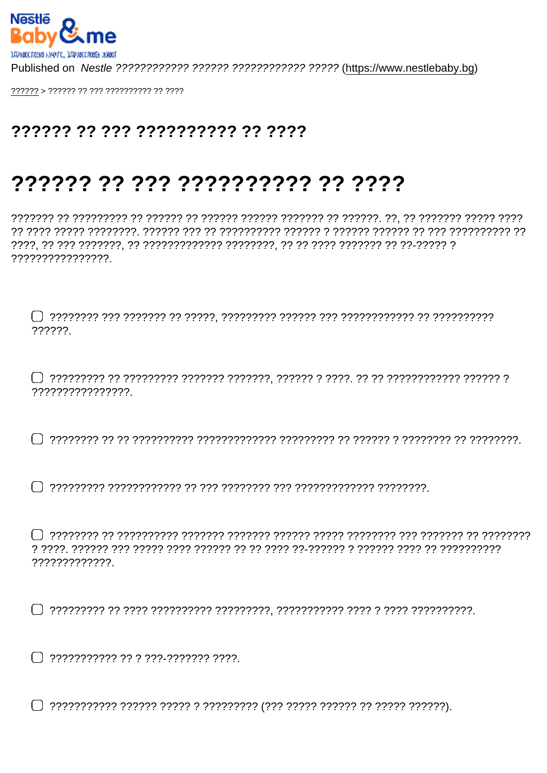## ?????? ?? ??? ?????????? ?? ????

## ?????? ?? ??? ?????????? ?? ????

,,,,,,,,,,,,,,,,,,

222222

????????????????.

 $\cap$  מדרכות הר ברכבות הרבות הרבות הר ברכבות הרבות הרבות הרבות הרבות הרבות הר הרבות הרבות הרבות  $\cap$ 

?????????????

 $\bigcap$  ???????????? ?? ? ???-??????? ????